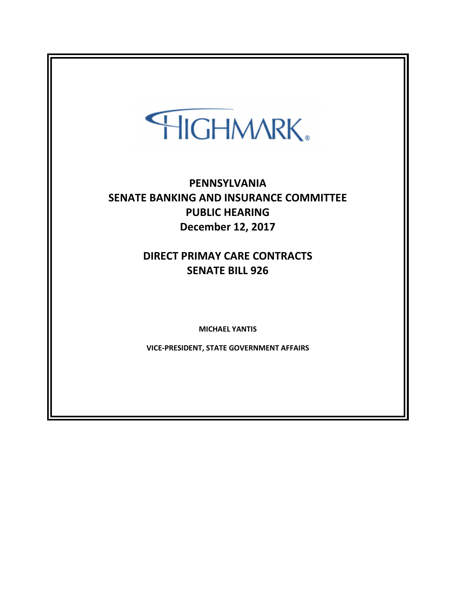## HIGHMARK.

## **PENNSYLVANIA SENATE BANKING AND INSURANCE COMMITTEE PUBLIC HEARING December 12, 2017**

## **DIRECT PRIMAY CARE CONTRACTS SENATE BILL 926**

**MICHAEL YANTIS**

**VICE-PRESIDENT, STATE GOVERNMENT AFFAIRS**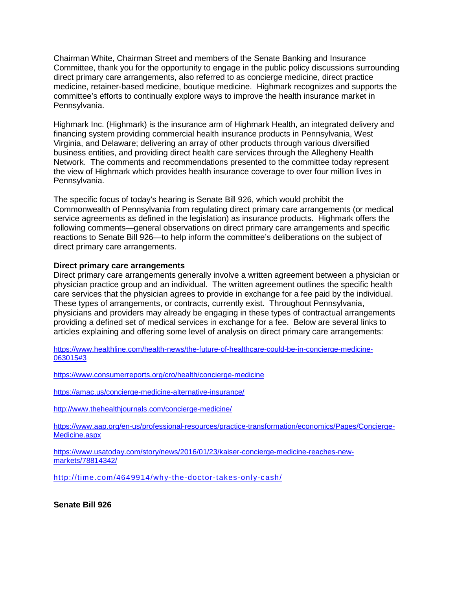Chairman White, Chairman Street and members of the Senate Banking and Insurance Committee, thank you for the opportunity to engage in the public policy discussions surrounding direct primary care arrangements, also referred to as concierge medicine, direct practice medicine, retainer-based medicine, boutique medicine. Highmark recognizes and supports the committee's efforts to continually explore ways to improve the health insurance market in Pennsylvania.

Highmark Inc. (Highmark) is the insurance arm of Highmark Health, an integrated delivery and financing system providing commercial health insurance products in Pennsylvania, West Virginia, and Delaware; delivering an array of other products through various diversified business entities, and providing direct health care services through the Allegheny Health Network. The comments and recommendations presented to the committee today represent the view of Highmark which provides health insurance coverage to over four million lives in Pennsylvania.

The specific focus of today's hearing is Senate Bill 926, which would prohibit the Commonwealth of Pennsylvania from regulating direct primary care arrangements (or medical service agreements as defined in the legislation) as insurance products. Highmark offers the following comments—general observations on direct primary care arrangements and specific reactions to Senate Bill 926—to help inform the committee's deliberations on the subject of direct primary care arrangements.

## **Direct primary care arrangements**

Direct primary care arrangements generally involve a written agreement between a physician or physician practice group and an individual. The written agreement outlines the specific health care services that the physician agrees to provide in exchange for a fee paid by the individual. These types of arrangements, or contracts, currently exist. Throughout Pennsylvania, physicians and providers may already be engaging in these types of contractual arrangements providing a defined set of medical services in exchange for a fee. Below are several links to articles explaining and offering some level of analysis on direct primary care arrangements:

[https://www.healthline.com/health-news/the-future-of-healthcare-could-be-in-concierge-medicine-](https://www.healthline.com/health-news/the-future-of-healthcare-could-be-in-concierge-medicine-063015%233)[063015#3](https://www.healthline.com/health-news/the-future-of-healthcare-could-be-in-concierge-medicine-063015%233)

<https://www.consumerreports.org/cro/health/concierge-medicine>

<https://amac.us/concierge-medicine-alternative-insurance/>

<http://www.thehealthjournals.com/concierge-medicine/>

[https://www.aap.org/en-us/professional-resources/practice-transformation/economics/Pages/Concierge-](https://www.aap.org/en-us/professional-resources/practice-transformation/economics/Pages/Concierge-Medicine.aspx)[Medicine.aspx](https://www.aap.org/en-us/professional-resources/practice-transformation/economics/Pages/Concierge-Medicine.aspx)

[https://www.usatoday.com/story/news/2016/01/23/kaiser-concierge-medicine-reaches-new](https://www.usatoday.com/story/news/2016/01/23/kaiser-concierge-medicine-reaches-new-markets/78814342/)[markets/78814342/](https://www.usatoday.com/story/news/2016/01/23/kaiser-concierge-medicine-reaches-new-markets/78814342/)

<http://time.com/4649914/why-the-doctor-takes-only-cash/>

**Senate Bill 926**